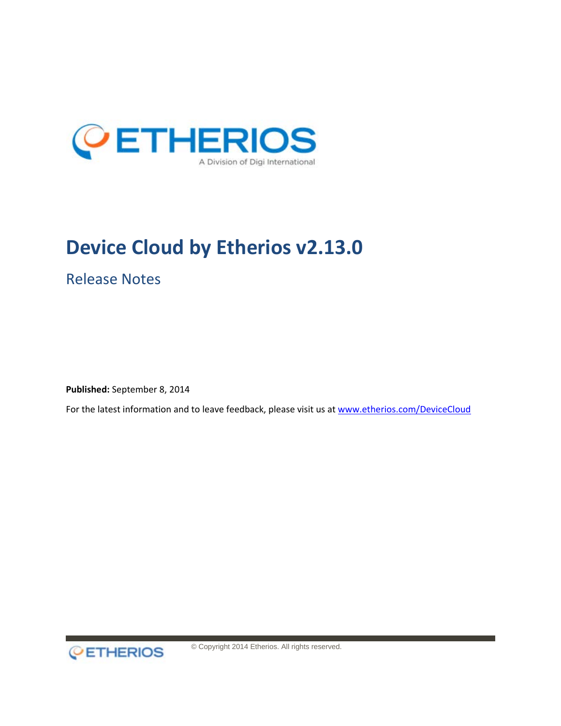

# **Device Cloud by Etherios v2.13.0**

Release Notes

**Published:** September 8, 2014

For the latest information and to leave feedback, please visit us at [www.etherios.com/DeviceCloud](http://www.etherios.com/DeviceCloud)



© Copyright 2014 Etherios. All rights reserved.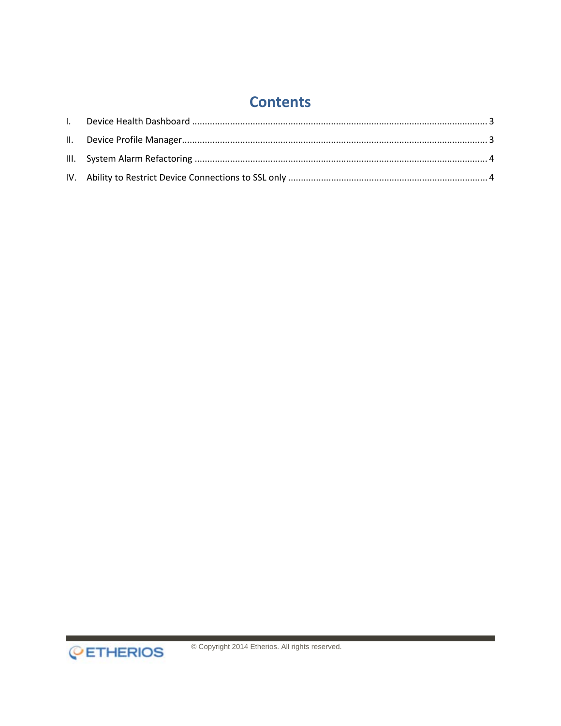### **Contents**

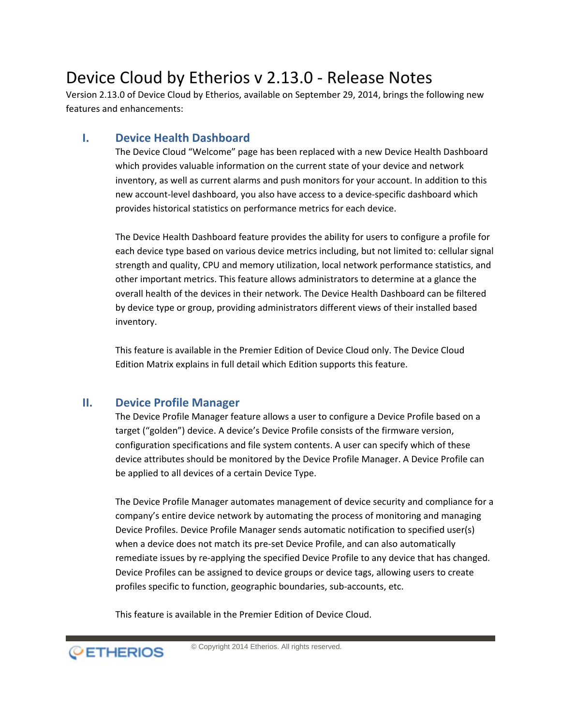## Device Cloud by Etherios v 2.13.0 - Release Notes

Version 2.13.0 of Device Cloud by Etherios, available on September 29, 2014, brings the following new features and enhancements:

#### <span id="page-2-0"></span>**I. Device Health Dashboard**

The Device Cloud "Welcome" page has been replaced with a new Device Health Dashboard which provides valuable information on the current state of your device and network inventory, as well as current alarms and push monitors for your account. In addition to this new account-level dashboard, you also have access to a device-specific dashboard which provides historical statistics on performance metrics for each device.

The Device Health Dashboard feature provides the ability for users to configure a profile for each device type based on various device metrics including, but not limited to: cellular signal strength and quality, CPU and memory utilization, local network performance statistics, and other important metrics. This feature allows administrators to determine at a glance the overall health of the devices in their network. The Device Health Dashboard can be filtered by device type or group, providing administrators different views of their installed based inventory.

This feature is available in the Premier Edition of Device Cloud only. The [Device Cloud](http://www.etherios.com/pdf/device-cloud-editions.pdf)  [Edition Matrix](http://www.etherios.com/pdf/device-cloud-editions.pdf) explains in full detail which Edition supports this feature.

#### <span id="page-2-1"></span>**II. Device Profile Manager**

The Device Profile Manager feature allows a user to configure a Device Profile based on a target ("golden") device. A device's Device Profile consists of the firmware version, configuration specifications and file system contents. A user can specify which of these device attributes should be monitored by the Device Profile Manager. A Device Profile can be applied to all devices of a certain Device Type.

The Device Profile Manager automates management of device security and compliance for a company's entire device network by automating the process of monitoring and managing Device Profiles. Device Profile Manager sends automatic notification to specified user(s) when a device does not match its pre-set Device Profile, and can also automatically remediate issues by re-applying the specified Device Profile to any device that has changed. Device Profiles can be assigned to device groups or device tags, allowing users to create profiles specific to function, geographic boundaries, sub-accounts, etc.

This feature is available in the Premier Edition of Device Cloud.